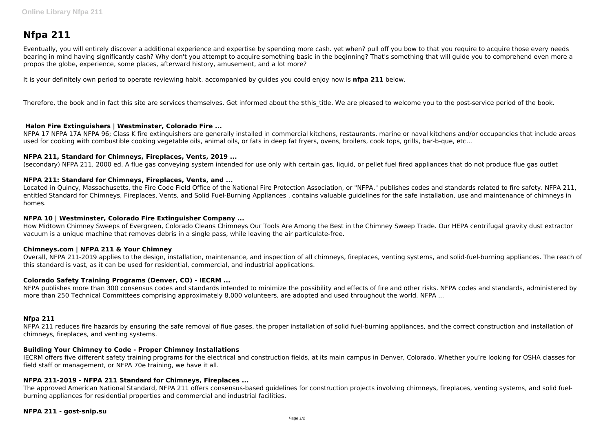# **Nfpa 211**

Eventually, you will entirely discover a additional experience and expertise by spending more cash. yet when? pull off you bow to that you require to acquire those every needs bearing in mind having significantly cash? Why don't you attempt to acquire something basic in the beginning? That's something that will guide you to comprehend even more a propos the globe, experience, some places, afterward history, amusement, and a lot more?

It is your definitely own period to operate reviewing habit. accompanied by guides you could enjoy now is **nfpa 211** below.

Therefore, the book and in fact this site are services themselves. Get informed about the \$this title. We are pleased to welcome you to the post-service period of the book.

# **Halon Fire Extinguishers | Westminster, Colorado Fire ...**

NFPA 17 NFPA 17A NFPA 96; Class K fire extinguishers are generally installed in commercial kitchens, restaurants, marine or naval kitchens and/or occupancies that include areas used for cooking with combustible cooking vegetable oils, animal oils, or fats in deep fat fryers, ovens, broilers, cook tops, grills, bar-b-que, etc...

# **NFPA 211, Standard for Chimneys, Fireplaces, Vents, 2019 ...**

(secondary) NFPA 211, 2000 ed. A flue gas conveying system intended for use only with certain gas, liquid, or pellet fuel fired appliances that do not produce flue gas outlet

# **NFPA 211: Standard for Chimneys, Fireplaces, Vents, and ...**

Located in Quincy, Massachusetts, the Fire Code Field Office of the National Fire Protection Association, or "NFPA," publishes codes and standards related to fire safety. NFPA 211, entitled Standard for Chimneys, Fireplaces, Vents, and Solid Fuel-Burning Appliances , contains valuable guidelines for the safe installation, use and maintenance of chimneys in homes.

# **NFPA 10 | Westminster, Colorado Fire Extinguisher Company ...**

How Midtown Chimney Sweeps of Evergreen, Colorado Cleans Chimneys Our Tools Are Among the Best in the Chimney Sweep Trade. Our HEPA centrifugal gravity dust extractor vacuum is a unique machine that removes debris in a single pass, while leaving the air particulate-free.

# **Chimneys.com | NFPA 211 & Your Chimney**

Overall, NFPA 211-2019 applies to the design, installation, maintenance, and inspection of all chimneys, fireplaces, venting systems, and solid-fuel-burning appliances. The reach of this standard is vast, as it can be used for residential, commercial, and industrial applications.

# **Colorado Safety Training Programs (Denver, CO) - IECRM ...**

NFPA publishes more than 300 consensus codes and standards intended to minimize the possibility and effects of fire and other risks. NFPA codes and standards, administered by more than 250 Technical Committees comprising approximately 8,000 volunteers, are adopted and used throughout the world. NFPA ...

# **Nfpa 211**

NFPA 211 reduces fire hazards by ensuring the safe removal of flue gases, the proper installation of solid fuel-burning appliances, and the correct construction and installation of chimneys, fireplaces, and venting systems.

# **Building Your Chimney to Code - Proper Chimney Installations**

IECRM offers five different safety training programs for the electrical and construction fields, at its main campus in Denver, Colorado. Whether you're looking for OSHA classes for field staff or management, or NFPA 70e training, we have it all.

# **NFPA 211-2019 - NFPA 211 Standard for Chimneys, Fireplaces ...**

The approved American National Standard, NFPA 211 offers consensus-based guidelines for construction projects involving chimneys, fireplaces, venting systems, and solid fuelburning appliances for residential properties and commercial and industrial facilities.

# **NFPA 211 - gost-snip.su**